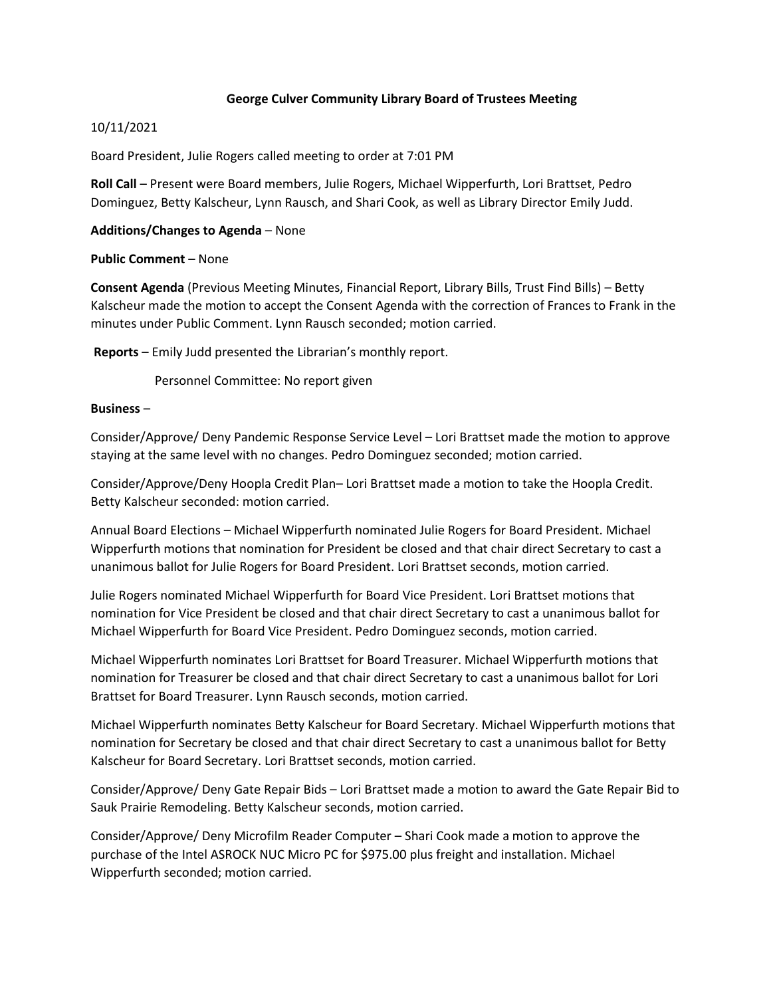# **George Culver Community Library Board of Trustees Meeting**

## 10/11/2021

Board President, Julie Rogers called meeting to order at 7:01 PM

**Roll Call** – Present were Board members, Julie Rogers, Michael Wipperfurth, Lori Brattset, Pedro Dominguez, Betty Kalscheur, Lynn Rausch, and Shari Cook, as well as Library Director Emily Judd.

# **Additions/Changes to Agenda** – None

## **Public Comment** – None

**Consent Agenda** (Previous Meeting Minutes, Financial Report, Library Bills, Trust Find Bills) – Betty Kalscheur made the motion to accept the Consent Agenda with the correction of Frances to Frank in the minutes under Public Comment. Lynn Rausch seconded; motion carried.

**Reports** – Emily Judd presented the Librarian's monthly report.

Personnel Committee: No report given

# **Business** –

Consider/Approve/ Deny Pandemic Response Service Level – Lori Brattset made the motion to approve staying at the same level with no changes. Pedro Dominguez seconded; motion carried.

Consider/Approve/Deny Hoopla Credit Plan– Lori Brattset made a motion to take the Hoopla Credit. Betty Kalscheur seconded: motion carried.

Annual Board Elections – Michael Wipperfurth nominated Julie Rogers for Board President. Michael Wipperfurth motions that nomination for President be closed and that chair direct Secretary to cast a unanimous ballot for Julie Rogers for Board President. Lori Brattset seconds, motion carried.

Julie Rogers nominated Michael Wipperfurth for Board Vice President. Lori Brattset motions that nomination for Vice President be closed and that chair direct Secretary to cast a unanimous ballot for Michael Wipperfurth for Board Vice President. Pedro Dominguez seconds, motion carried.

Michael Wipperfurth nominates Lori Brattset for Board Treasurer. Michael Wipperfurth motions that nomination for Treasurer be closed and that chair direct Secretary to cast a unanimous ballot for Lori Brattset for Board Treasurer. Lynn Rausch seconds, motion carried.

Michael Wipperfurth nominates Betty Kalscheur for Board Secretary. Michael Wipperfurth motions that nomination for Secretary be closed and that chair direct Secretary to cast a unanimous ballot for Betty Kalscheur for Board Secretary. Lori Brattset seconds, motion carried.

Consider/Approve/ Deny Gate Repair Bids – Lori Brattset made a motion to award the Gate Repair Bid to Sauk Prairie Remodeling. Betty Kalscheur seconds, motion carried.

Consider/Approve/ Deny Microfilm Reader Computer – Shari Cook made a motion to approve the purchase of the Intel ASROCK NUC Micro PC for \$975.00 plus freight and installation. Michael Wipperfurth seconded; motion carried.